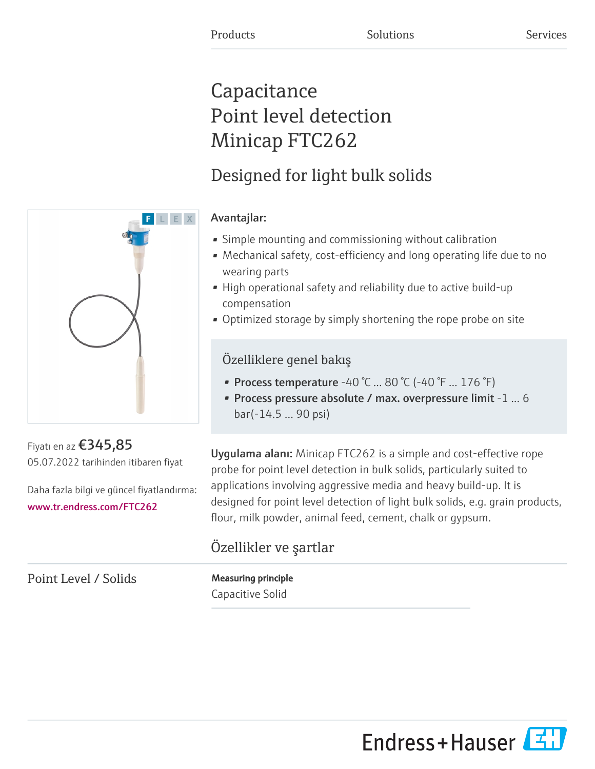# Capacitance Point level detection Minicap FTC262

# Designed for light bulk solids

### Avantajlar:

- Simple mounting and commissioning without calibration
- Mechanical safety, cost-efficiency and long operating life due to no wearing parts
- High operational safety and reliability due to active build-up compensation
- Optimized storage by simply shortening the rope probe on site

### Özelliklere genel bakış

- Process temperature -40 °C ... 80 °C (-40 °F ... 176 °F)
- Process pressure absolute / max. overpressure limit -1 ... 6 bar(-14.5 ... 90 psi)

Uygulama alanı: Minicap FTC262 is a simple and cost-effective rope probe for point level detection in bulk solids, particularly suited to applications involving aggressive media and heavy build-up. It is designed for point level detection of light bulk solids, e.g. grain products, flour, milk powder, animal feed, cement, chalk or gypsum.

## Özellikler ve şartlar

Point Level / Solids Measuring principle

Capacitive Solid





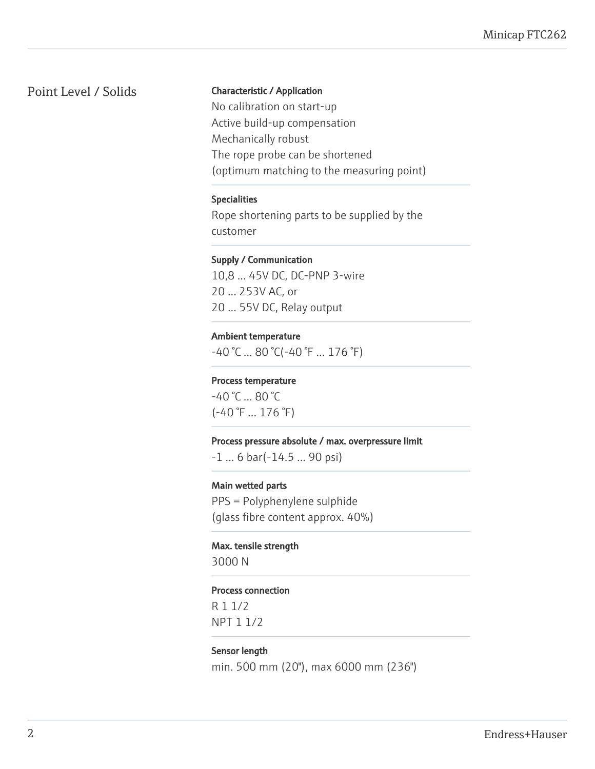#### Point Level / Solids Characteristic / Application

No calibration on start-up Active build-up compensation Mechanically robust The rope probe can be shortened (optimum matching to the measuring point)

#### Specialities

Rope shortening parts to be supplied by the customer

#### Supply / Communication

10,8 ... 45V DC, DC-PNP 3-wire 20 ... 253V AC, or 20 ... 55V DC, Relay output

#### Ambient temperature

 $-40$  °C ... 80 °C( $-40$  °F ... 176 °F)

#### Process temperature

-40 °C ... 80 °C (-40 °F ... 176 °F)

#### Process pressure absolute / max. overpressure limit

-1 ... 6 bar(-14.5 ... 90 psi)

#### Main wetted parts

PPS = Polyphenylene sulphide (glass fibre content approx. 40%)

# Max. tensile strength

3000 N

#### Process connection

R 1 1/2 NPT 1 1/2

#### Sensor length

min. 500 mm (20"), max 6000 mm (236")